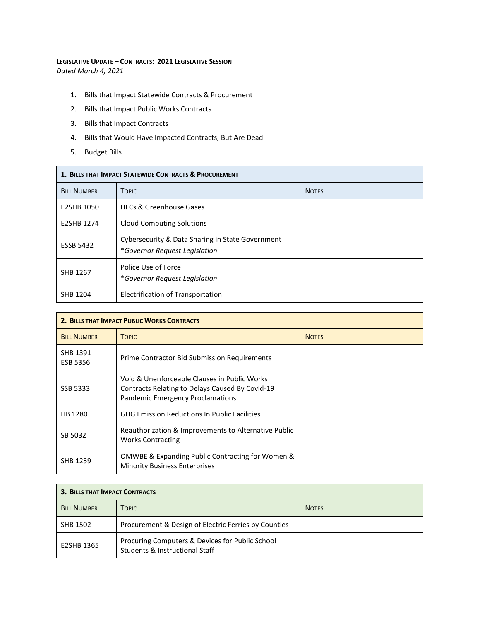## **LEGISLATIVE UPDATE – CONTRACTS: 2021 LEGISLATIVE SESSION** *Dated March 4, 2021*

- 1. Bills that Impact Statewide Contracts & Procurement
- 2. Bills that Impact Public Works Contracts
- 3. Bills that Impact Contracts
- 4. Bills that Would Have Impacted Contracts, But Are Dead
- 5. Budget Bills

| 1. BILLS THAT IMPACT STATEWIDE CONTRACTS & PROCUREMENT |                                                                                   |              |  |
|--------------------------------------------------------|-----------------------------------------------------------------------------------|--------------|--|
| <b>BILL NUMBER</b>                                     | <b>TOPIC</b>                                                                      | <b>NOTES</b> |  |
| E2SHB 1050                                             | <b>HFCs &amp; Greenhouse Gases</b>                                                |              |  |
| E2SHB 1274                                             | <b>Cloud Computing Solutions</b>                                                  |              |  |
| <b>ESSB 5432</b>                                       | Cybersecurity & Data Sharing in State Government<br>*Governor Request Legislation |              |  |
| SHB 1267                                               | Police Use of Force<br>*Governor Request Legislation                              |              |  |
| SHB 1204                                               | Electrification of Transportation                                                 |              |  |

| 2. BILLS THAT IMPACT PUBLIC WORKS CONTRACTS |                                                                                                                                            |              |  |
|---------------------------------------------|--------------------------------------------------------------------------------------------------------------------------------------------|--------------|--|
| <b>BILL NUMBER</b>                          | <b>TOPIC</b>                                                                                                                               | <b>NOTES</b> |  |
| SHB 1391<br><b>ESB 5356</b>                 | Prime Contractor Bid Submission Requirements                                                                                               |              |  |
| SSB 5333                                    | Void & Unenforceable Clauses in Public Works<br>Contracts Relating to Delays Caused By Covid-19<br><b>Pandemic Emergency Proclamations</b> |              |  |
| HB 1280                                     | <b>GHG Emission Reductions In Public Facilities</b>                                                                                        |              |  |
| SB 5032                                     | Reauthorization & Improvements to Alternative Public<br><b>Works Contracting</b>                                                           |              |  |
| <b>SHB 1259</b>                             | <b>OMWBE &amp; Expanding Public Contracting for Women &amp;</b><br><b>Minority Business Enterprises</b>                                    |              |  |

| <b>3. BILLS THAT IMPACT CONTRACTS</b> |                                                                                   |              |  |
|---------------------------------------|-----------------------------------------------------------------------------------|--------------|--|
| <b>BILL NUMBER</b>                    | <b>TOPIC</b>                                                                      | <b>NOTES</b> |  |
| SHB 1502                              | Procurement & Design of Electric Ferries by Counties                              |              |  |
| E2SHB 1365                            | Procuring Computers & Devices for Public School<br>Students & Instructional Staff |              |  |